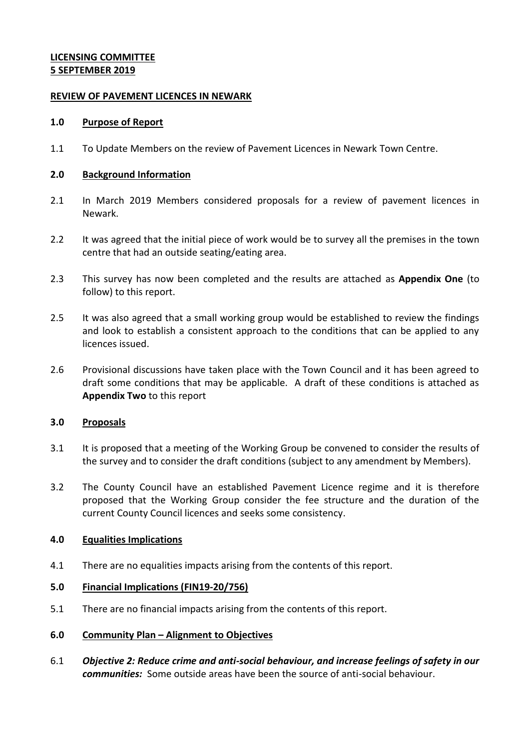# **LICENSING COMMITTEE 5 SEPTEMBER 2019**

## **REVIEW OF PAVEMENT LICENCES IN NEWARK**

## **1.0 Purpose of Report**

1.1 To Update Members on the review of Pavement Licences in Newark Town Centre.

## **2.0 Background Information**

- 2.1 In March 2019 Members considered proposals for a review of pavement licences in Newark.
- 2.2 It was agreed that the initial piece of work would be to survey all the premises in the town centre that had an outside seating/eating area.
- 2.3 This survey has now been completed and the results are attached as **Appendix One** (to follow) to this report.
- 2.5 It was also agreed that a small working group would be established to review the findings and look to establish a consistent approach to the conditions that can be applied to any licences issued.
- 2.6 Provisional discussions have taken place with the Town Council and it has been agreed to draft some conditions that may be applicable. A draft of these conditions is attached as **Appendix Two** to this report

# **3.0 Proposals**

- 3.1 It is proposed that a meeting of the Working Group be convened to consider the results of the survey and to consider the draft conditions (subject to any amendment by Members).
- 3.2 The County Council have an established Pavement Licence regime and it is therefore proposed that the Working Group consider the fee structure and the duration of the current County Council licences and seeks some consistency.

# **4.0 Equalities Implications**

4.1 There are no equalities impacts arising from the contents of this report.

#### **5.0 Financial Implications (FIN19-20/756)**

- 5.1 There are no financial impacts arising from the contents of this report.
- **6.0 Community Plan – Alignment to Objectives**
- 6.1 *Objective 2: Reduce crime and anti-social behaviour, and increase feelings of safety in our communities:* Some outside areas have been the source of anti-social behaviour.